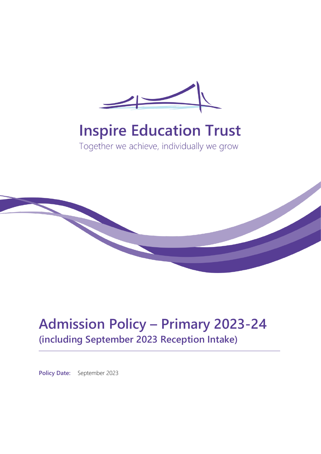

# **Inspire Education Trust**

Together we achieve, individually we grow



# **Admission Policy – Primary 2023-24 (including September 2023 Reception Intake)**

**Policy Date:** September 2023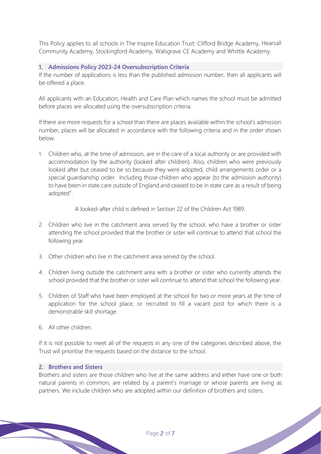This Policy applies to all schools in The Inspire Education Trust: Clifford Bridge Academy, Hearsall Community Academy, Stockingford Academy, Walsgrave CE Academy and Whittle Academy.

#### **1. Admissions Policy 2023-24 Oversubscription Criteria**

If the number of applications is less than the published admission number, then all applicants will be offered a place.

All applicants with an Education, Health and Care Plan which names the school must be admitted before places are allocated using the oversubscription criteria.

If there are more requests for a school than there are places available within the school's admission number, places will be allocated in accordance with the following criteria and in the order shown below.

1. Children who, at the time of admission, are in the care of a local authority or are provided with accommodation by the authority (looked after children). Also, children who were previously looked after but ceased to be so because they were adopted, child arrangements order or a special guardianship order. Including those children who appear (to the admission authority) to have been in state care outside of England and ceased to be in state care as a result of being adopted".

A looked-after child is defined in Section 22 of the Children Act 1989.

- 2. Children who live in the catchment area served by the school, who have a brother or sister attending the school provided that the brother or sister will continue to attend that school the following year.
- 3. Other children who live in the catchment area served by the school.
- 4. Children living outside the catchment area with a brother or sister who currently attends the school provided that the brother or sister will continue to attend that school the following year.
- 5. Children of Staff who have been employed at the school for two or more years at the time of application for the school place; or recruited to fill a vacant post for which there is a demonstrable skill shortage.
- 6. All other children.

If it is not possible to meet all of the requests in any one of the categories described above, the Trust will prioritise the requests based on the distance to the school.

# **2. Brothers and Sisters**

Brothers and sisters are those children who live at the same address and either have one or both natural parents in common; are related by a parent's marriage or whose parents are living as partners. We include children who are adopted within our definition of brothers and sisters.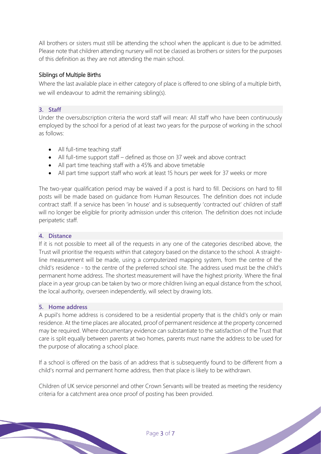All brothers or sisters must still be attending the school when the applicant is due to be admitted. Please note that children attending nursery will not be classed as brothers or sisters for the purposes of this definition as they are not attending the main school.

# Siblings of Multiple Births

Where the last available place in either category of place is offered to one sibling of a multiple birth, we will endeavour to admit the remaining sibling(s).

# **3. Staff**

Under the oversubscription criteria the word staff will mean: All staff who have been continuously employed by the school for a period of at least two years for the purpose of working in the school as follows:

- All full-time teaching staff
- All full-time support staff defined as those on 37 week and above contract
- All part time teaching staff with a 45% and above timetable
- All part time support staff who work at least 15 hours per week for 37 weeks or more

The two-year qualification period may be waived if a post is hard to fill. Decisions on hard to fill posts will be made based on guidance from Human Resources. The definition does not include contract staff. If a service has been 'in house' and is subsequently 'contracted out' children of staff will no longer be eligible for priority admission under this criterion. The definition does not include peripatetic staff.

#### **4. Distance**

If it is not possible to meet all of the requests in any one of the categories described above, the Trust will prioritise the requests within that category based on the distance to the school. A straightline measurement will be made, using a computerized mapping system, from the centre of the child's residence - to the centre of the preferred school site. The address used must be the child's permanent home address. The shortest measurement will have the highest priority. Where the final place in a year group can be taken by two or more children living an equal distance from the school, the local authority, overseen independently, will select by drawing lots.

#### **5. Home address**

A pupil's home address is considered to be a residential property that is the child's only or main residence. At the time places are allocated, proof of permanent residence at the property concerned may be required. Where documentary evidence can substantiate to the satisfaction of the Trust that care is split equally between parents at two homes, parents must name the address to be used for the purpose of allocating a school place.

If a school is offered on the basis of an address that is subsequently found to be different from a child's normal and permanent home address, then that place is likely to be withdrawn.

Children of UK service personnel and other Crown Servants will be treated as meeting the residency criteria for a catchment area once proof of posting has been provided.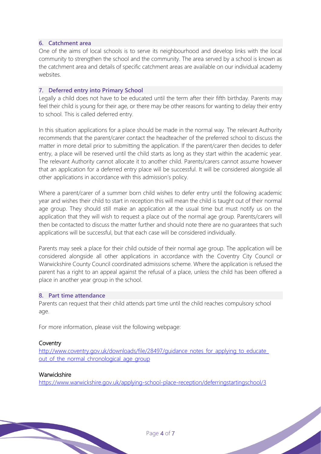# **6. Catchment area**

One of the aims of local schools is to serve its neighbourhood and develop links with the local community to strengthen the school and the community. The area served by a school is known as the catchment area and details of specific catchment areas are available on our individual academy websites.

#### **7. Deferred entry into Primary School**

Legally a child does not have to be educated until the term after their fifth birthday. Parents may feel their child is young for their age, or there may be other reasons for wanting to delay their entry to school. This is called deferred entry.

In this situation applications for a place should be made in the normal way. The relevant Authority recommends that the parent/carer contact the headteacher of the preferred school to discuss the matter in more detail prior to submitting the application. If the parent/carer then decides to defer entry, a place will be reserved until the child starts as long as they start within the academic year. The relevant Authority cannot allocate it to another child. Parents/carers cannot assume however that an application for a deferred entry place will be successful. It will be considered alongside all other applications in accordance with this admission's policy.

Where a parent/carer of a summer born child wishes to defer entry until the following academic year and wishes their child to start in reception this will mean the child is taught out of their normal age group. They should still make an application at the usual time but must notify us on the application that they will wish to request a place out of the normal age group. Parents/carers will then be contacted to discuss the matter further and should note there are no guarantees that such applications will be successful, but that each case will be considered individually.

Parents may seek a place for their child outside of their normal age group. The application will be considered alongside all other applications in accordance with the Coventry City Council or Warwickshire County Council coordinated admissions scheme. Where the application is refused the parent has a right to an appeal against the refusal of a place, unless the child has been offered a place in another year group in the school.

#### **8. Part time attendance**

Parents can request that their child attends part time until the child reaches compulsory school age.

For more information, please visit the following webpage:

#### **Coventry**

[http://www.coventry.gov.uk/downloads/file/28497/guidance\\_notes\\_for\\_applying\\_to\\_educate\\_](http://www.coventry.gov.uk/downloads/file/28497/guidance_notes_for_applying_to_educate_out_of_the_normal_chronological_age_group) out of the normal chronological age group

#### Warwickshire

<https://www.warwickshire.gov.uk/applying-school-place-reception/deferringstartingschool/3>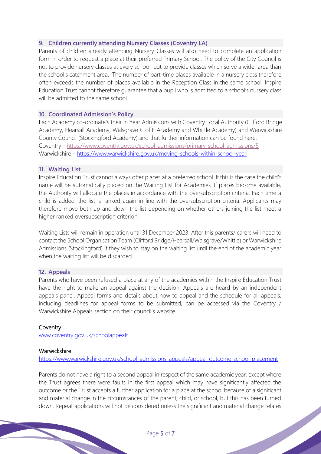# **9. Children currently attending Nursery Classes (Coventry LA)**

Parents of children already attending Nursery Classes will also need to complete an application form in order to request a place at their preferred Primary School. The policy of the City Council is not to provide nursery classes at every school, but to provide classes which serve a wider area than the school's catchment area. The number of part-time places available in a nursery class therefore often exceeds the number of places available in the Reception Class in the same school. Inspire Education Trust cannot therefore guarantee that a pupil who is admitted to a school's nursery class will be admitted to the same school.

#### **10. Coordinated Admission's Policy**

Each Academy co-ordinate's their In Year Admissions with Coventry Local Authority (Clifford Bridge Academy, Hearsall Academy, Walsgrave C of E Academy and Whittle Academy) and Warwickshire County Council (Stockingford Academy) and that further information can be found here: Coventry - <https://www.coventry.gov.uk/school-admissions/primary-school-admissions/5> Warwickshire - <https://www.warwickshire.gov.uk/moving-schools-within-school-year>

#### **11. Waiting List**

Inspire Education Trust cannot always offer places at a preferred school. If this is the case the child's name will be automatically placed on the Waiting List for Academies. If places become available, the Authority will allocate the places in accordance with the oversubscription criteria. Each time a child is added, the list is ranked again in line with the oversubscription criteria. Applicants may therefore move both up and down the list depending on whether others joining the list meet a higher ranked oversubscription criterion.

Waiting Lists will remain in operation until 31 December 2023. After this parents/ carers will need to contact the School Organisation Team (Clifford Bridge/Hearsall/Walsgrave/Whittle) or Warwickshire Admissions (Stockingford) if they wish to stay on the waiting list until the end of the academic year when the waiting list will be discarded.

#### **12. Appeals**

Parents who have been refused a place at any of the academies within the Inspire Education Trust have the right to make an appeal against the decision. Appeals are heard by an independent appeals panel. Appeal forms and details about how to appeal and the schedule for all appeals, including deadlines for appeal forms to be submitted, can be accessed via the Coventry / Warwickshire Appeals section on their council's website.

#### **Coventry**

[www.coventry.gov.uk/schoolappeals](http://www.coventry.gov.uk/schoolappeals)

#### **Warwickshire**

<https://www.warwickshire.gov.uk/school-admissions-appeals/appeal-outcome-school-placement>

Parents do not have a right to a second appeal in respect of the same academic year, except where the Trust agrees there were faults in the first appeal which may have significantly affected the outcome or the Trust accepts a further application for a place at the school because of a significant and material change in the circumstances of the parent, child, or school, but this has been turned down. Repeat applications will not be considered unless the significant and material change relates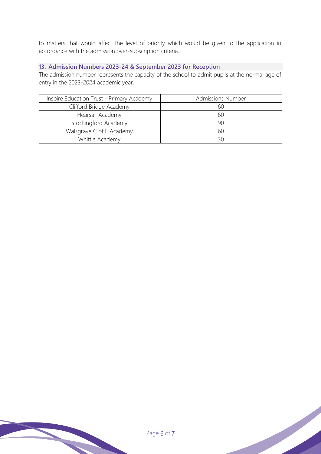to matters that would affect the level of priority which would be given to the application in accordance with the admission over-subscription criteria.

# **13. Admission Numbers 2023-24 & September 2023 for Reception**

The admission number represents the capacity of the school to admit pupils at the normal age of entry in the 2023-2024 academic year.

| Inspire Education Trust - Primary Academy | <b>Admissions Number</b> |
|-------------------------------------------|--------------------------|
| Clifford Bridge Academy                   | 60                       |
| Hearsall Academy                          | 60                       |
| Stockingford Academy                      | 90                       |
| Walsgrave C of E Academy                  | 60                       |
| Whittle Academy                           |                          |